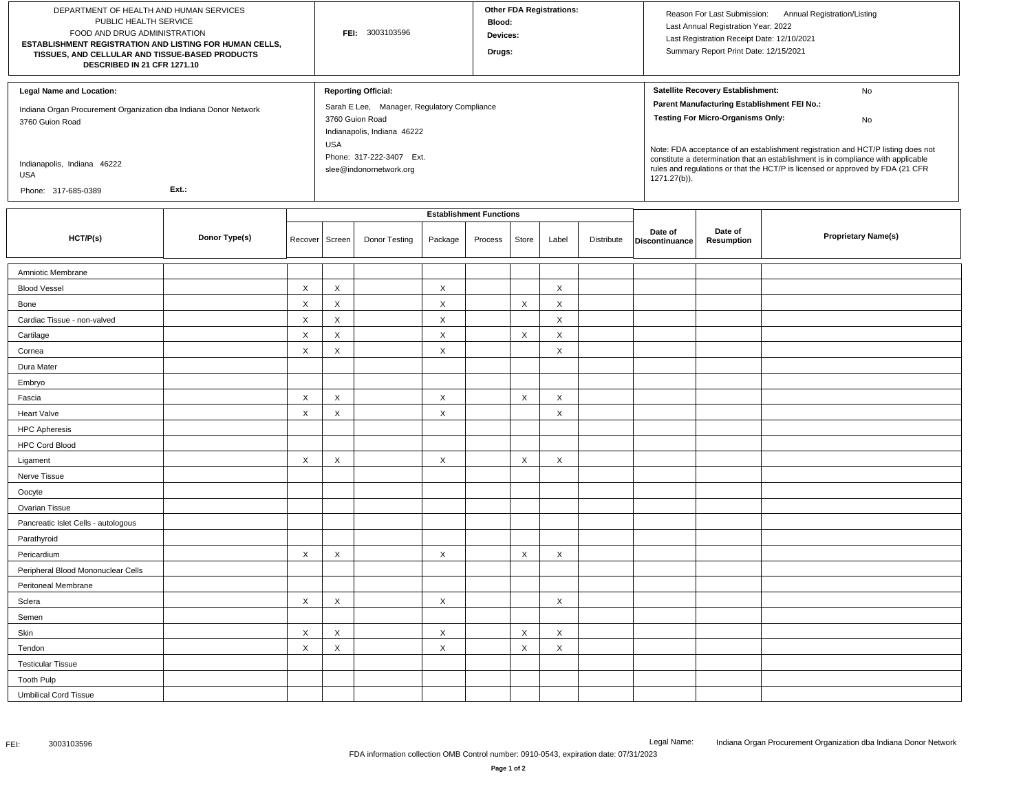| DEPARTMENT OF HEALTH AND HUMAN SERVICES<br>PUBLIC HEALTH SERVICE<br>FOOD AND DRUG ADMINISTRATION<br>ESTABLISHMENT REGISTRATION AND LISTING FOR HUMAN CELLS,<br>TISSUES, AND CELLULAR AND TISSUE-BASED PRODUCTS<br>DESCRIBED IN 21 CFR 1271.10 |               |             | FEI: 3003103596           |                                                                                                                                                                                                  |          |                                           | <b>Other FDA Registrations:</b><br>Blood:<br>Devices:<br>Drugs: |       |            |                                                                                                                                                                                                                                                                                                                                                                                                                     | Reason For Last Submission: Annual Registration/Listing<br>Last Annual Registration Year: 2022<br>Last Registration Receipt Date: 12/10/2021<br>Summary Report Print Date: 12/15/2021 |                            |  |
|-----------------------------------------------------------------------------------------------------------------------------------------------------------------------------------------------------------------------------------------------|---------------|-------------|---------------------------|--------------------------------------------------------------------------------------------------------------------------------------------------------------------------------------------------|----------|-------------------------------------------|-----------------------------------------------------------------|-------|------------|---------------------------------------------------------------------------------------------------------------------------------------------------------------------------------------------------------------------------------------------------------------------------------------------------------------------------------------------------------------------------------------------------------------------|---------------------------------------------------------------------------------------------------------------------------------------------------------------------------------------|----------------------------|--|
| <b>Legal Name and Location:</b><br>Indiana Organ Procurement Organization dba Indiana Donor Network<br>3760 Guion Road<br>Indianapolis, Indiana 46222<br><b>USA</b><br>Ext.:<br>Phone: 317-685-0389                                           |               |             |                           | <b>Reporting Official:</b><br>Sarah E Lee, Manager, Regulatory Compliance<br>3760 Guion Road<br>Indianapolis, Indiana 46222<br><b>USA</b><br>Phone: 317-222-3407 Ext.<br>slee@indonornetwork.org |          |                                           |                                                                 |       |            | Satellite Recovery Establishment:<br>No<br>Parent Manufacturing Establishment FEI No.:<br><b>Testing For Micro-Organisms Only:</b><br>No<br>Note: FDA acceptance of an establishment registration and HCT/P listing does not<br>constitute a determination that an establishment is in compliance with applicable<br>rules and regulations or that the HCT/P is licensed or approved by FDA (21 CFR<br>1271.27(b)). |                                                                                                                                                                                       |                            |  |
| HCT/P(s)                                                                                                                                                                                                                                      | Donor Type(s) | Recover     | Screen                    | Donor Testing                                                                                                                                                                                    | Package  | <b>Establishment Functions</b><br>Process | Store                                                           | Label | Distribute | Date of<br>Discontinuance                                                                                                                                                                                                                                                                                                                                                                                           | Date of<br>Resumption                                                                                                                                                                 | <b>Proprietary Name(s)</b> |  |
| Amniotic Membrane                                                                                                                                                                                                                             |               |             |                           |                                                                                                                                                                                                  |          |                                           |                                                                 |       |            |                                                                                                                                                                                                                                                                                                                                                                                                                     |                                                                                                                                                                                       |                            |  |
| <b>Blood Vessel</b>                                                                                                                                                                                                                           |               | $\mathsf X$ | $\boldsymbol{\mathsf{X}}$ |                                                                                                                                                                                                  | X        |                                           |                                                                 | X     |            |                                                                                                                                                                                                                                                                                                                                                                                                                     |                                                                                                                                                                                       |                            |  |
| Bone                                                                                                                                                                                                                                          |               | $\mathsf X$ | $\boldsymbol{\mathsf{X}}$ |                                                                                                                                                                                                  | X        |                                           | X                                                               | X     |            |                                                                                                                                                                                                                                                                                                                                                                                                                     |                                                                                                                                                                                       |                            |  |
| Cardiac Tissue - non-valved                                                                                                                                                                                                                   |               | $\mathsf X$ | $\boldsymbol{\mathsf{X}}$ |                                                                                                                                                                                                  | X        |                                           |                                                                 | X     |            |                                                                                                                                                                                                                                                                                                                                                                                                                     |                                                                                                                                                                                       |                            |  |
| Cartilage                                                                                                                                                                                                                                     |               | X           | $\boldsymbol{\mathsf{X}}$ |                                                                                                                                                                                                  | $\times$ |                                           | $\mathsf{X}$                                                    | X     |            |                                                                                                                                                                                                                                                                                                                                                                                                                     |                                                                                                                                                                                       |                            |  |
| Cornea                                                                                                                                                                                                                                        |               | $\mathsf X$ | X                         |                                                                                                                                                                                                  | X        |                                           |                                                                 | X     |            |                                                                                                                                                                                                                                                                                                                                                                                                                     |                                                                                                                                                                                       |                            |  |
| Dura Mater                                                                                                                                                                                                                                    |               |             |                           |                                                                                                                                                                                                  |          |                                           |                                                                 |       |            |                                                                                                                                                                                                                                                                                                                                                                                                                     |                                                                                                                                                                                       |                            |  |
| Embryo                                                                                                                                                                                                                                        |               |             |                           |                                                                                                                                                                                                  |          |                                           |                                                                 |       |            |                                                                                                                                                                                                                                                                                                                                                                                                                     |                                                                                                                                                                                       |                            |  |
| Fascia                                                                                                                                                                                                                                        |               | X           | X                         |                                                                                                                                                                                                  | X        |                                           | $\times$                                                        | X     |            |                                                                                                                                                                                                                                                                                                                                                                                                                     |                                                                                                                                                                                       |                            |  |
| <b>Heart Valve</b>                                                                                                                                                                                                                            |               | X           | X                         |                                                                                                                                                                                                  | X        |                                           |                                                                 | X     |            |                                                                                                                                                                                                                                                                                                                                                                                                                     |                                                                                                                                                                                       |                            |  |
| <b>HPC Apheresis</b>                                                                                                                                                                                                                          |               |             |                           |                                                                                                                                                                                                  |          |                                           |                                                                 |       |            |                                                                                                                                                                                                                                                                                                                                                                                                                     |                                                                                                                                                                                       |                            |  |
| <b>HPC Cord Blood</b>                                                                                                                                                                                                                         |               |             |                           |                                                                                                                                                                                                  |          |                                           |                                                                 |       |            |                                                                                                                                                                                                                                                                                                                                                                                                                     |                                                                                                                                                                                       |                            |  |
| Ligament                                                                                                                                                                                                                                      |               | $\mathsf X$ | X                         |                                                                                                                                                                                                  | X        |                                           | $\mathsf X$                                                     | X     |            |                                                                                                                                                                                                                                                                                                                                                                                                                     |                                                                                                                                                                                       |                            |  |
| Nerve Tissue                                                                                                                                                                                                                                  |               |             |                           |                                                                                                                                                                                                  |          |                                           |                                                                 |       |            |                                                                                                                                                                                                                                                                                                                                                                                                                     |                                                                                                                                                                                       |                            |  |
| Oocyte                                                                                                                                                                                                                                        |               |             |                           |                                                                                                                                                                                                  |          |                                           |                                                                 |       |            |                                                                                                                                                                                                                                                                                                                                                                                                                     |                                                                                                                                                                                       |                            |  |
| Ovarian Tissue                                                                                                                                                                                                                                |               |             |                           |                                                                                                                                                                                                  |          |                                           |                                                                 |       |            |                                                                                                                                                                                                                                                                                                                                                                                                                     |                                                                                                                                                                                       |                            |  |
| Pancreatic Islet Cells - autologous                                                                                                                                                                                                           |               |             |                           |                                                                                                                                                                                                  |          |                                           |                                                                 |       |            |                                                                                                                                                                                                                                                                                                                                                                                                                     |                                                                                                                                                                                       |                            |  |
| Parathyroid                                                                                                                                                                                                                                   |               |             |                           |                                                                                                                                                                                                  |          |                                           |                                                                 |       |            |                                                                                                                                                                                                                                                                                                                                                                                                                     |                                                                                                                                                                                       |                            |  |
| Pericardium                                                                                                                                                                                                                                   |               | X           | X                         |                                                                                                                                                                                                  | X        |                                           | $\times$                                                        | X     |            |                                                                                                                                                                                                                                                                                                                                                                                                                     |                                                                                                                                                                                       |                            |  |
| Peripheral Blood Mononuclear Cells                                                                                                                                                                                                            |               |             |                           |                                                                                                                                                                                                  |          |                                           |                                                                 |       |            |                                                                                                                                                                                                                                                                                                                                                                                                                     |                                                                                                                                                                                       |                            |  |
| Peritoneal Membrane                                                                                                                                                                                                                           |               |             |                           |                                                                                                                                                                                                  |          |                                           |                                                                 |       |            |                                                                                                                                                                                                                                                                                                                                                                                                                     |                                                                                                                                                                                       |                            |  |
| Sclera                                                                                                                                                                                                                                        |               | X           | X                         |                                                                                                                                                                                                  | X        |                                           |                                                                 | X     |            |                                                                                                                                                                                                                                                                                                                                                                                                                     |                                                                                                                                                                                       |                            |  |
| Semen                                                                                                                                                                                                                                         |               |             |                           |                                                                                                                                                                                                  |          |                                           |                                                                 |       |            |                                                                                                                                                                                                                                                                                                                                                                                                                     |                                                                                                                                                                                       |                            |  |
| Skin                                                                                                                                                                                                                                          |               | X           | X                         |                                                                                                                                                                                                  | X        |                                           | X                                                               | X     |            |                                                                                                                                                                                                                                                                                                                                                                                                                     |                                                                                                                                                                                       |                            |  |
| Tendon                                                                                                                                                                                                                                        |               | $\mathsf X$ | X                         |                                                                                                                                                                                                  | X        |                                           | X                                                               | X     |            |                                                                                                                                                                                                                                                                                                                                                                                                                     |                                                                                                                                                                                       |                            |  |
| <b>Testicular Tissue</b>                                                                                                                                                                                                                      |               |             |                           |                                                                                                                                                                                                  |          |                                           |                                                                 |       |            |                                                                                                                                                                                                                                                                                                                                                                                                                     |                                                                                                                                                                                       |                            |  |
| <b>Tooth Pulp</b>                                                                                                                                                                                                                             |               |             |                           |                                                                                                                                                                                                  |          |                                           |                                                                 |       |            |                                                                                                                                                                                                                                                                                                                                                                                                                     |                                                                                                                                                                                       |                            |  |
| <b>Umbilical Cord Tissue</b>                                                                                                                                                                                                                  |               |             |                           |                                                                                                                                                                                                  |          |                                           |                                                                 |       |            |                                                                                                                                                                                                                                                                                                                                                                                                                     |                                                                                                                                                                                       |                            |  |